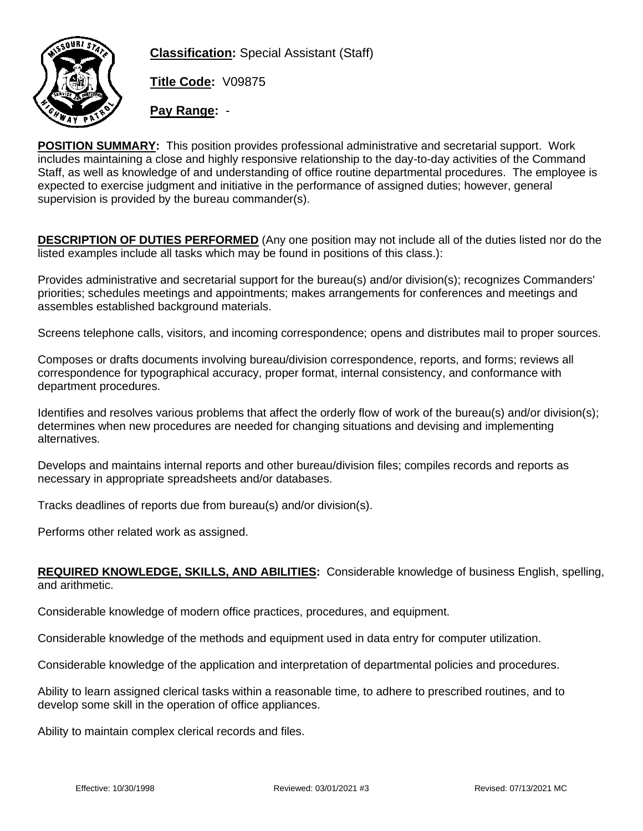

**Classification:** Special Assistant (Staff)

**Title Code:** V09875

**Pay Range:** -

**POSITION SUMMARY:** This position provides professional administrative and secretarial support. Work includes maintaining a close and highly responsive relationship to the day-to-day activities of the Command Staff, as well as knowledge of and understanding of office routine departmental procedures. The employee is expected to exercise judgment and initiative in the performance of assigned duties; however, general supervision is provided by the bureau commander(s).

**DESCRIPTION OF DUTIES PERFORMED** (Any one position may not include all of the duties listed nor do the listed examples include all tasks which may be found in positions of this class.):

Provides administrative and secretarial support for the bureau(s) and/or division(s); recognizes Commanders' priorities; schedules meetings and appointments; makes arrangements for conferences and meetings and assembles established background materials.

Screens telephone calls, visitors, and incoming correspondence; opens and distributes mail to proper sources.

Composes or drafts documents involving bureau/division correspondence, reports, and forms; reviews all correspondence for typographical accuracy, proper format, internal consistency, and conformance with department procedures.

Identifies and resolves various problems that affect the orderly flow of work of the bureau(s) and/or division(s); determines when new procedures are needed for changing situations and devising and implementing alternatives.

Develops and maintains internal reports and other bureau/division files; compiles records and reports as necessary in appropriate spreadsheets and/or databases.

Tracks deadlines of reports due from bureau(s) and/or division(s).

Performs other related work as assigned.

## **REQUIRED KNOWLEDGE, SKILLS, AND ABILITIES:** Considerable knowledge of business English, spelling, and arithmetic.

Considerable knowledge of modern office practices, procedures, and equipment.

Considerable knowledge of the methods and equipment used in data entry for computer utilization.

Considerable knowledge of the application and interpretation of departmental policies and procedures.

Ability to learn assigned clerical tasks within a reasonable time, to adhere to prescribed routines, and to develop some skill in the operation of office appliances.

Ability to maintain complex clerical records and files.